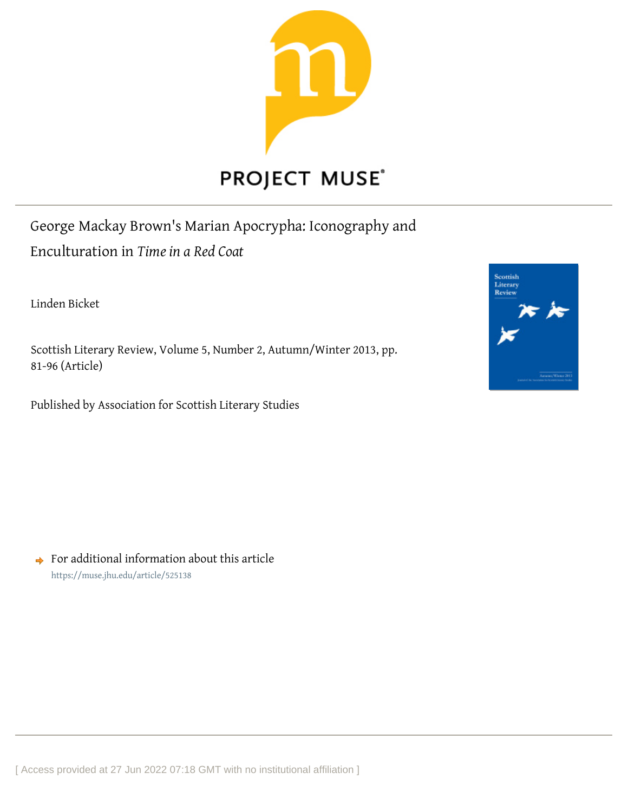

# **PROJECT MUSE®**

George Mackay Brown's Marian Apocrypha: Iconography and Enculturation in *Time in a Red Coat*

Linden Bicket

Scottish Literary Review, Volume 5, Number 2, Autumn/Winter 2013, pp. 81-96 (Article)

Published by Association for Scottish Literary Studies



 $\rightarrow$  For additional information about this article <https://muse.jhu.edu/article/525138>

[ Access provided at 27 Jun 2022 07:18 GMT with no institutional affiliation ]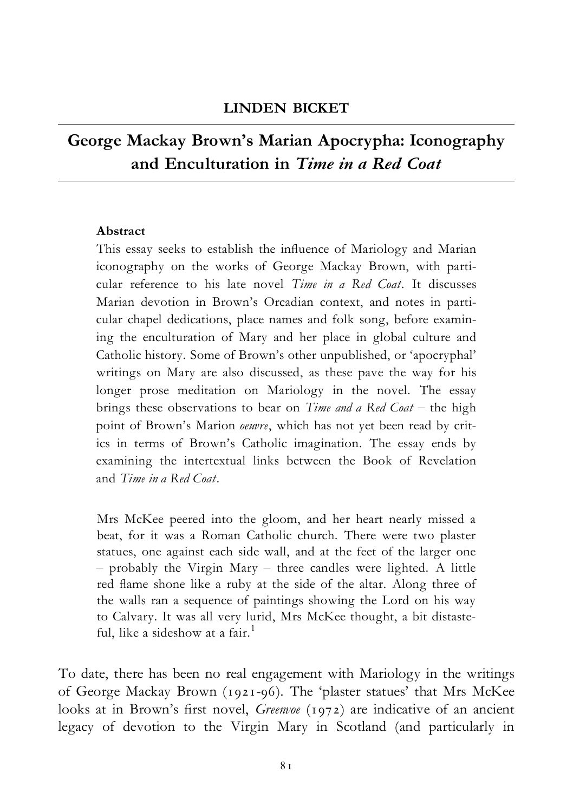### LINDEN BICKET

## George Mackay Brown's Marian Apocrypha: Iconography and Enculturation in Time in a Red Coat

#### Abstract

This essay seeks to establish the influence of Mariology and Marian iconography on the works of George Mackay Brown, with particular reference to his late novel Time in a Red Coat. It discusses Marian devotion in Brown's Orcadian context, and notes in particular chapel dedications, place names and folk song, before examining the enculturation of Mary and her place in global culture and Catholic history. Some of Brown's other unpublished, or 'apocryphal' writings on Mary are also discussed, as these pave the way for his longer prose meditation on Mariology in the novel. The essay brings these observations to bear on *Time and a Red Coat* – the high point of Brown's Marion oeuvre, which has not yet been read by critics in terms of Brown's Catholic imagination. The essay ends by examining the intertextual links between the Book of Revelation and Time in a Red Coat.

Mrs McKee peered into the gloom, and her heart nearly missed a beat, for it was a Roman Catholic church. There were two plaster statues, one against each side wall, and at the feet of the larger one  $-$  probably the Virgin Mary  $-$  three candles were lighted. A little red flame shone like a ruby at the side of the altar. Along three of the walls ran a sequence of paintings showing the Lord on his way to Calvary. It was all very lurid, Mrs McKee thought, a bit distasteful, like a sideshow at a fair.<sup>1</sup>

To date, there has been no real engagement with Mariology in the writings of George Mackay Brown (1921-96). The 'plaster statues' that Mrs McKee looks at in Brown's first novel, *Greenvoe* (1972) are indicative of an ancient legacy of devotion to the Virgin Mary in Scotland (and particularly in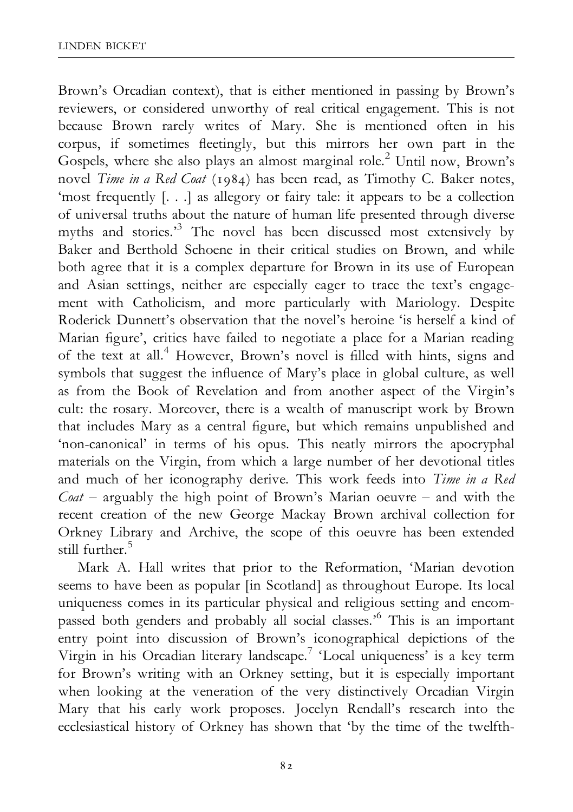Brown's Orcadian context), that is either mentioned in passing by Brown's reviewers, or considered unworthy of real critical engagement. This is not because Brown rarely writes of Mary. She is mentioned often in his corpus, if sometimes £eetingly, but this mirrors her own part in the Gospels, where she also plays an almost marginal role.<sup>2</sup> Until now, Brown's novel *Time in a Red Coat* (1984) has been read, as Timothy C. Baker notes, 'most frequently [. . .] as allegory or fairy tale: it appears to be a collection of universal truths about the nature of human life presented through diverse myths and stories.<sup>3</sup> The novel has been discussed most extensively by Baker and Berthold Schoene in their critical studies on Brown, and while both agree that it is a complex departure for Brown in its use of European and Asian settings, neither are especially eager to trace the text's engagement with Catholicism, and more particularly with Mariology. Despite Roderick Dunnett's observation that the novel's heroine 'is herself a kind of Marian figure', critics have failed to negotiate a place for a Marian reading of the text at all.4 However, Brown's novel is ¢lled with hints, signs and symbols that suggest the influence of Mary's place in global culture, as well as from the Book of Revelation and from another aspect of the Virgin's cult: the rosary. Moreover, there is a wealth of manuscript work by Brown that includes Mary as a central figure, but which remains unpublished and 'non-canonical' in terms of his opus. This neatly mirrors the apocryphal materials on the Virgin, from which a large number of her devotional titles and much of her iconography derive. This work feeds into Time in a Red  $\hat{C}$ *oat* – arguably the high point of Brown's Marian oeuvre – and with the recent creation of the new George Mackay Brown archival collection for Orkney Library and Archive, the scope of this oeuvre has been extended still further.<sup>5</sup>

Mark A. Hall writes that prior to the Reformation, 'Marian devotion seems to have been as popular [in Scotland] as throughout Europe. Its local uniqueness comes in its particular physical and religious setting and encompassed both genders and probably all social classes.'6 This is an important entry point into discussion of Brown's iconographical depictions of the Virgin in his Orcadian literary landscape.<sup>7</sup> 'Local uniqueness' is a key term for Brown's writing with an Orkney setting, but it is especially important when looking at the veneration of the very distinctively Orcadian Virgin Mary that his early work proposes. Jocelyn Rendall's research into the ecclesiastical history of Orkney has shown that 'by the time of the twelfth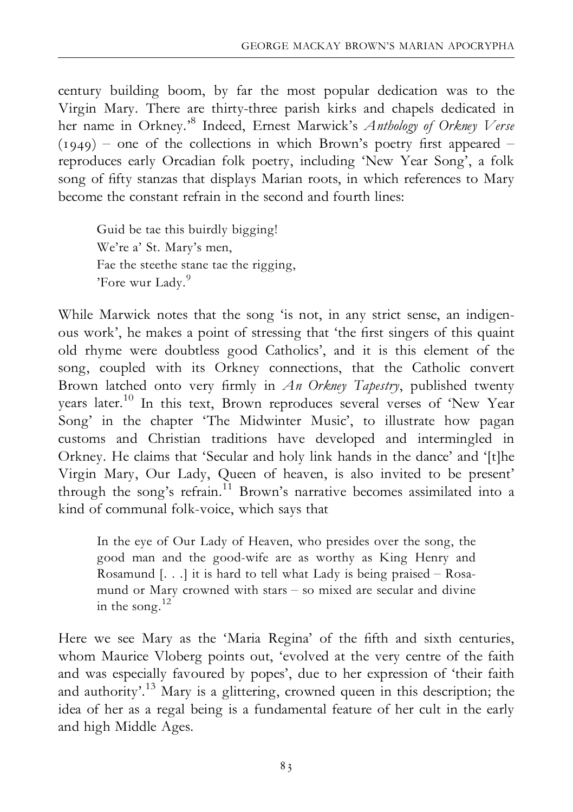century building boom, by far the most popular dedication was to the Virgin Mary. There are thirty-three parish kirks and chapels dedicated in her name in Orkney.<sup>8</sup> Indeed, Ernest Marwick's Anthology of Orkney Verse  $(1949)$  – one of the collections in which Brown's poetry first appeared – reproduces early Orcadian folk poetry, including 'New Year Song', a folk song of fifty stanzas that displays Marian roots, in which references to Mary become the constant refrain in the second and fourth lines:

Guid be tae this buirdly bigging! We're a' St. Mary's men, Fae the steethe stane tae the rigging, 'Fore wur Lady.<sup>9</sup>

While Marwick notes that the song 'is not, in any strict sense, an indigenous work', he makes a point of stressing that 'the first singers of this quaint old rhyme were doubtless good Catholics', and it is this element of the song, coupled with its Orkney connections, that the Catholic convert Brown latched onto very firmly in  $An$  Orkney Tapestry, published twenty years later.10 In this text, Brown reproduces several verses of 'New Year Song' in the chapter 'The Midwinter Music', to illustrate how pagan customs and Christian traditions have developed and intermingled in Orkney. He claims that 'Secular and holy link hands in the dance' and '[t]he Virgin Mary, Our Lady, Queen of heaven, is also invited to be present' through the song's refrain.<sup>11</sup> Brown's narrative becomes assimilated into a kind of communal folk-voice, which says that

In the eye of Our Lady of Heaven, who presides over the song, the good man and the good-wife are as worthy as King Henry and Rosamund  $[...]$  it is hard to tell what Lady is being praised  $-$  Rosamund or Mary crowned with stars - so mixed are secular and divine in the song.<sup>12</sup>

Here we see Mary as the 'Maria Regina' of the fifth and sixth centuries, whom Maurice Vloberg points out, 'evolved at the very centre of the faith and was especially favoured by popes', due to her expression of 'their faith and authority'.13 Mary is a glittering, crowned queen in this description; the idea of her as a regal being is a fundamental feature of her cult in the early and high Middle Ages.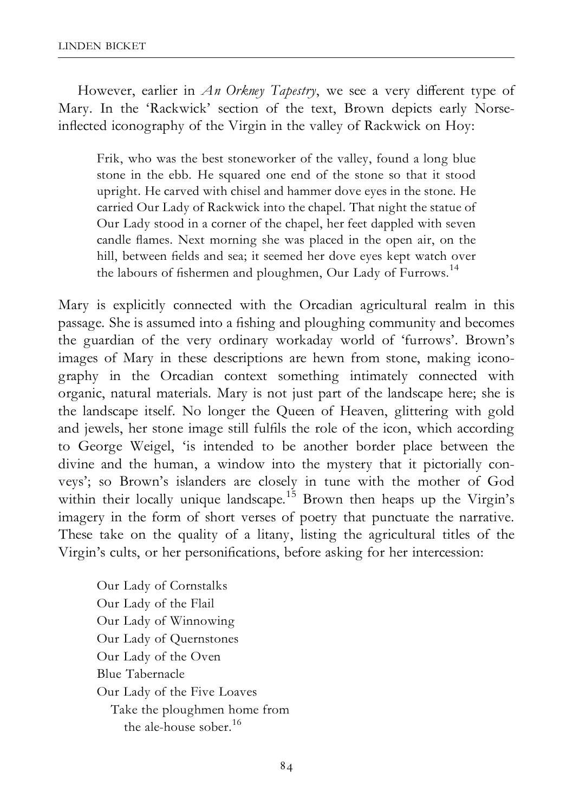However, earlier in An Orkney Tapestry, we see a very different type of Mary. In the 'Rackwick' section of the text, Brown depicts early Norseinflected iconography of the Virgin in the valley of Rackwick on Hoy:

Frik, who was the best stoneworker of the valley, found a long blue stone in the ebb. He squared one end of the stone so that it stood upright. He carved with chisel and hammer dove eyes in the stone. He carried Our Lady of Rackwick into the chapel. That night the statue of Our Lady stood in a corner of the chapel, her feet dappled with seven candle flames. Next morning she was placed in the open air, on the hill, between fields and sea; it seemed her dove eyes kept watch over the labours of fishermen and ploughmen, Our Lady of Furrows.<sup>14</sup>

Mary is explicitly connected with the Orcadian agricultural realm in this passage. She is assumed into a fishing and ploughing community and becomes the guardian of the very ordinary workaday world of 'furrows'. Brown's images of Mary in these descriptions are hewn from stone, making iconography in the Orcadian context something intimately connected with organic, natural materials. Mary is not just part of the landscape here; she is the landscape itself. No longer the Queen of Heaven, glittering with gold and jewels, her stone image still ful¢ls the role of the icon, which according to George Weigel, 'is intended to be another border place between the divine and the human, a window into the mystery that it pictorially conveys'; so Brown's islanders are closely in tune with the mother of God within their locally unique landscape.<sup>15</sup> Brown then heaps up the Virgin's imagery in the form of short verses of poetry that punctuate the narrative. These take on the quality of a litany, listing the agricultural titles of the Virgin's cults, or her personifications, before asking for her intercession:

Our Lady of Cornstalks Our Lady of the Flail Our Lady of Winnowing Our Lady of Quernstones Our Lady of the Oven Blue Tabernacle Our Lady of the Five Loaves Take the ploughmen home from the ale-house sober.<sup>16</sup>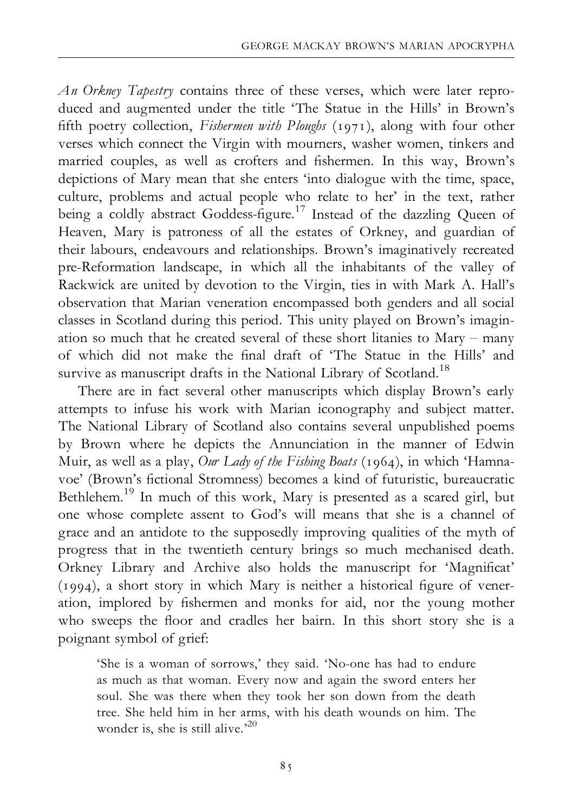An Orkney Tapestry contains three of these verses, which were later reproduced and augmented under the title 'The Statue in the Hills' in Brown's fifth poetry collection, Fishermen with Ploughs (1971), along with four other verses which connect the Virgin with mourners, washer women, tinkers and married couples, as well as crofters and fishermen. In this way, Brown's depictions of Mary mean that she enters 'into dialogue with the time, space, culture, problems and actual people who relate to her' in the text, rather being a coldly abstract Goddess-figure.<sup>17</sup> Instead of the dazzling Queen of Heaven, Mary is patroness of all the estates of Orkney, and guardian of their labours, endeavours and relationships. Brown's imaginatively recreated pre-Reformation landscape, in which all the inhabitants of the valley of Rackwick are united by devotion to the Virgin, ties in with Mark A. Hall's observation that Marian veneration encompassed both genders and all social classes in Scotland during this period. This unity played on Brown's imagination so much that he created several of these short litanies to  $Mary - many$ of which did not make the ¢nal draft of 'The Statue in the Hills' and survive as manuscript drafts in the National Library of Scotland.<sup>18</sup>

There are in fact several other manuscripts which display Brown's early attempts to infuse his work with Marian iconography and subject matter. The National Library of Scotland also contains several unpublished poems by Brown where he depicts the Annunciation in the manner of Edwin Muir, as well as a play, Our Lady of the Fishing Boats (1964), in which 'Hamnavoe' (Brown's fictional Stromness) becomes a kind of futuristic, bureaucratic Bethlehem.19 In much of this work, Mary is presented as a scared girl, but one whose complete assent to God's will means that she is a channel of grace and an antidote to the supposedly improving qualities of the myth of progress that in the twentieth century brings so much mechanised death. Orkney Library and Archive also holds the manuscript for 'Magnificat' (1994), a short story in which Mary is neither a historical ¢gure of veneration, implored by ¢shermen and monks for aid, nor the young mother who sweeps the floor and cradles her bairn. In this short story she is a poignant symbol of grief:

'She is a woman of sorrows,' they said. 'No-one has had to endure as much as that woman. Every now and again the sword enters her soul. She was there when they took her son down from the death tree. She held him in her arms, with his death wounds on him. The wonder is, she is still alive.'20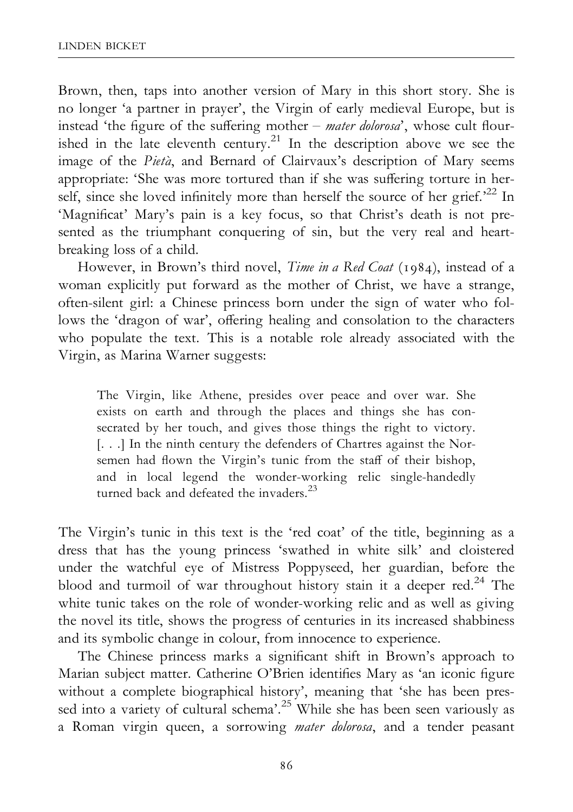Brown, then, taps into another version of Mary in this short story. She is no longer 'a partner in prayer', the Virgin of early medieval Europe, but is instead 'the figure of the suffering mother  $-$  mater dolorosa', whose cult flourished in the late eleventh century.<sup>21</sup> In the description above we see the image of the Pietà, and Bernard of Clairvaux's description of Mary seems appropriate: 'She was more tortured than if she was suffering torture in herself, since she loved infinitely more than herself the source of her grief.<sup>22</sup> In 'Magnificat' Mary's pain is a key focus, so that Christ's death is not presented as the triumphant conquering of sin, but the very real and heartbreaking loss of a child.

However, in Brown's third novel, Time in a Red Coat (1984), instead of a woman explicitly put forward as the mother of Christ, we have a strange, often-silent girl: a Chinese princess born under the sign of water who follows the 'dragon of war', offering healing and consolation to the characters who populate the text. This is a notable role already associated with the Virgin, as Marina Warner suggests:

The Virgin, like Athene, presides over peace and over war. She exists on earth and through the places and things she has consecrated by her touch, and gives those things the right to victory. [...] In the ninth century the defenders of Chartres against the Norsemen had flown the Virgin's tunic from the staff of their bishop, and in local legend the wonder-working relic single-handedly turned back and defeated the invaders.<sup>23</sup>

The Virgin's tunic in this text is the 'red coat' of the title, beginning as a dress that has the young princess 'swathed in white silk' and cloistered under the watchful eye of Mistress Poppyseed, her guardian, before the blood and turmoil of war throughout history stain it a deeper red.<sup>24</sup> The white tunic takes on the role of wonder-working relic and as well as giving the novel its title, shows the progress of centuries in its increased shabbiness and its symbolic change in colour, from innocence to experience.

The Chinese princess marks a significant shift in Brown's approach to Marian subject matter. Catherine O'Brien identifies Mary as 'an iconic figure without a complete biographical history', meaning that 'she has been pressed into a variety of cultural schema'.<sup>25</sup> While she has been seen variously as a Roman virgin queen, a sorrowing *mater dolorosa*, and a tender peasant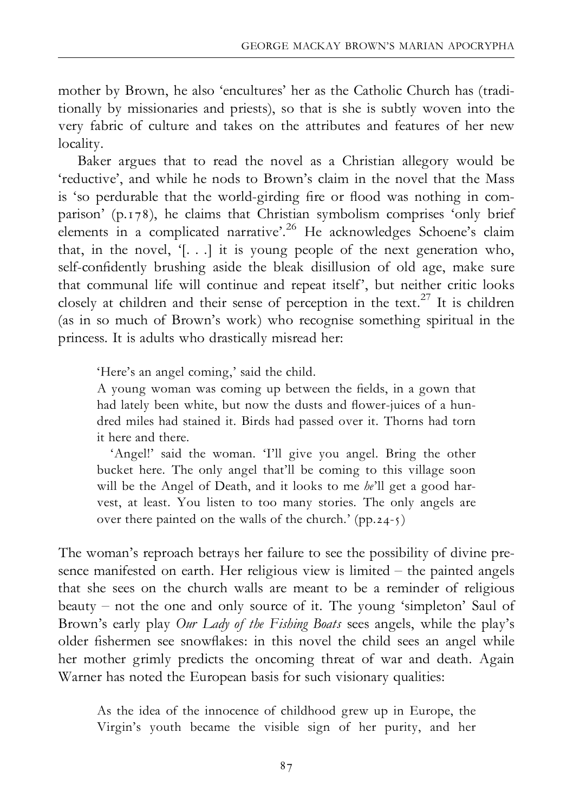mother by Brown, he also 'encultures' her as the Catholic Church has (traditionally by missionaries and priests), so that is she is subtly woven into the very fabric of culture and takes on the attributes and features of her new locality.

Baker argues that to read the novel as a Christian allegory would be 'reductive', and while he nods to Brown's claim in the novel that the Mass is 'so perdurable that the world-girding fire or flood was nothing in comparison' (p.178), he claims that Christian symbolism comprises 'only brief elements in a complicated narrative'.<sup>26</sup> He acknowledges Schoene's claim that, in the novel,  $[...]$  it is young people of the next generation who, self-confidently brushing aside the bleak disillusion of old age, make sure that communal life will continue and repeat itself', but neither critic looks closely at children and their sense of perception in the text.<sup>27</sup> It is children (as in so much of Brown's work) who recognise something spiritual in the princess. It is adults who drastically misread her:

'Here's an angel coming,' said the child.

A young woman was coming up between the ¢elds, in a gown that had lately been white, but now the dusts and flower-juices of a hundred miles had stained it. Birds had passed over it. Thorns had torn it here and there.

'Angel!' said the woman. 'I'll give you angel. Bring the other bucket here. The only angel that'll be coming to this village soon will be the Angel of Death, and it looks to me  $he'll$  get a good harvest, at least. You listen to too many stories. The only angels are over there painted on the walls of the church.' (pp.24-5)

The woman's reproach betrays her failure to see the possibility of divine presence manifested on earth. Her religious view is limited  $-$  the painted angels that she sees on the church walls are meant to be a reminder of religious beauty  $-$  not the one and only source of it. The young 'simpleton' Saul of Brown's early play Our Lady of the Fishing Boats sees angels, while the play's older fishermen see snowflakes: in this novel the child sees an angel while her mother grimly predicts the oncoming threat of war and death. Again Warner has noted the European basis for such visionary qualities:

As the idea of the innocence of childhood grew up in Europe, the Virgin's youth became the visible sign of her purity, and her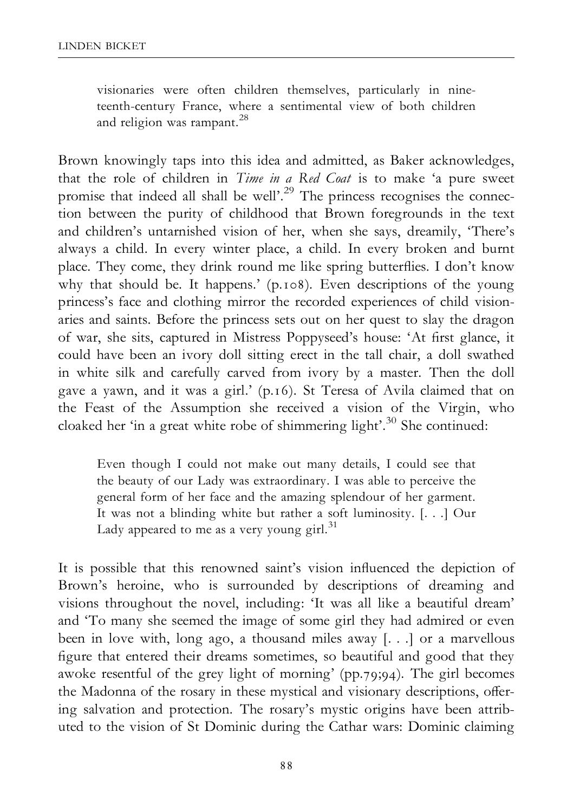visionaries were often children themselves, particularly in nineteenth-century France, where a sentimental view of both children and religion was rampant.<sup>28</sup>

Brown knowingly taps into this idea and admitted, as Baker acknowledges, that the role of children in *Time in a Red Coat* is to make 'a pure sweet promise that indeed all shall be well'.<sup>29</sup> The princess recognises the connection between the purity of childhood that Brown foregrounds in the text and children's untarnished vision of her, when she says, dreamily, 'There's always a child. In every winter place, a child. In every broken and burnt place. They come, they drink round me like spring butterflies. I don't know why that should be. It happens.' (p.108). Even descriptions of the young princess's face and clothing mirror the recorded experiences of child visionaries and saints. Before the princess sets out on her quest to slay the dragon of war, she sits, captured in Mistress Poppyseed's house: 'At first glance, it could have been an ivory doll sitting erect in the tall chair, a doll swathed in white silk and carefully carved from ivory by a master. Then the doll gave a yawn, and it was a girl.' (p.16). St Teresa of Avila claimed that on the Feast of the Assumption she received a vision of the Virgin, who cloaked her 'in a great white robe of shimmering light'.<sup>30</sup> She continued:

Even though I could not make out many details, I could see that the beauty of our Lady was extraordinary. I was able to perceive the general form of her face and the amazing splendour of her garment. It was not a blinding white but rather a soft luminosity. [. . .] Our Lady appeared to me as a very young girl. $31$ 

It is possible that this renowned saint's vision influenced the depiction of Brown's heroine, who is surrounded by descriptions of dreaming and visions throughout the novel, including: 'It was all like a beautiful dream' and 'To many she seemed the image of some girl they had admired or even been in love with, long ago, a thousand miles away [. . .] or a marvellous figure that entered their dreams sometimes, so beautiful and good that they awoke resentful of the grey light of morning' (pp.79;94). The girl becomes the Madonna of the rosary in these mystical and visionary descriptions, offering salvation and protection. The rosary's mystic origins have been attributed to the vision of St Dominic during the Cathar wars: Dominic claiming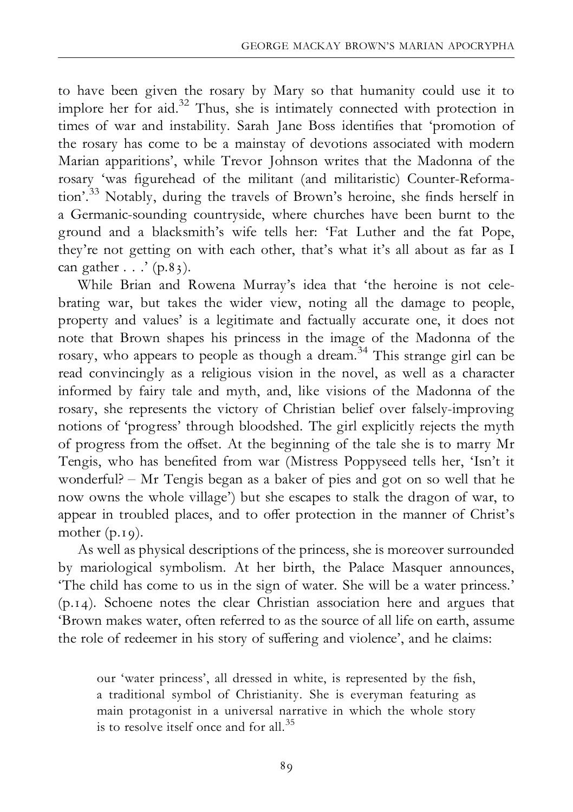to have been given the rosary by Mary so that humanity could use it to implore her for aid.32 Thus, she is intimately connected with protection in times of war and instability. Sarah Jane Boss identifies that 'promotion of the rosary has come to be a mainstay of devotions associated with modern Marian apparitions', while Trevor Johnson writes that the Madonna of the rosary 'was figurehead of the militant (and militaristic) Counter-Reformation'.<sup>33</sup> Notably, during the travels of Brown's heroine, she finds herself in a Germanic-sounding countryside, where churches have been burnt to the ground and a blacksmith's wife tells her: 'Fat Luther and the fat Pope, they're not getting on with each other, that's what it's all about as far as I can gather  $\ldots$  ' (p.83).

While Brian and Rowena Murray's idea that 'the heroine is not celebrating war, but takes the wider view, noting all the damage to people, property and values' is a legitimate and factually accurate one, it does not note that Brown shapes his princess in the image of the Madonna of the rosary, who appears to people as though a dream.34 This strange girl can be read convincingly as a religious vision in the novel, as well as a character informed by fairy tale and myth, and, like visions of the Madonna of the rosary, she represents the victory of Christian belief over falsely-improving notions of 'progress' through bloodshed. The girl explicitly rejects the myth of progress from the offset. At the beginning of the tale she is to marry Mr Tengis, who has bene¢ted from war (Mistress Poppyseed tells her, 'Isn't it wonderful?  $- Mr$  Tengis began as a baker of pies and got on so well that he now owns the whole village') but she escapes to stalk the dragon of war, to appear in troubled places, and to offer protection in the manner of Christ's mother (p.19).

As well as physical descriptions of the princess, she is moreover surrounded by mariological symbolism. At her birth, the Palace Masquer announces, 'The child has come to us in the sign of water. She will be a water princess.' (p.14). Schoene notes the clear Christian association here and argues that 'Brown makes water, often referred to as the source of all life on earth, assume the role of redeemer in his story of suffering and violence', and he claims:

our 'water princess', all dressed in white, is represented by the fish, a traditional symbol of Christianity. She is everyman featuring as main protagonist in a universal narrative in which the whole story is to resolve itself once and for all.<sup>35</sup>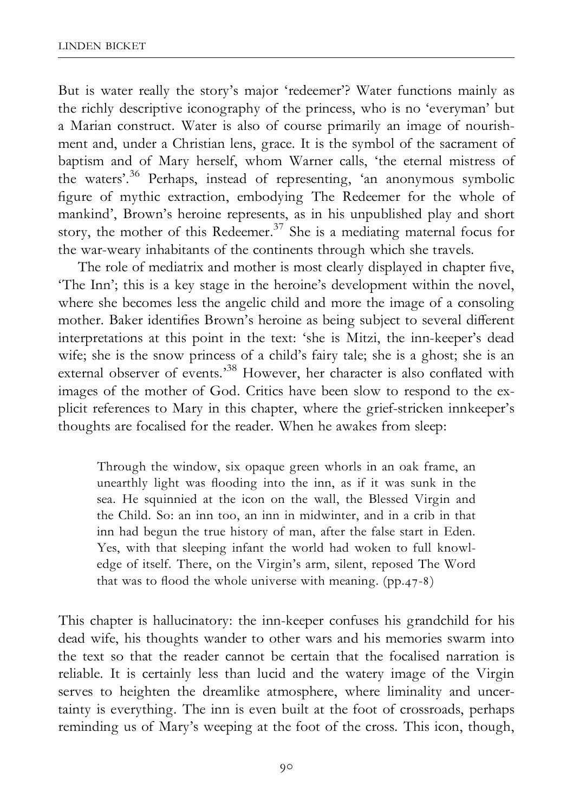But is water really the story's major 'redeemer'? Water functions mainly as the richly descriptive iconography of the princess, who is no 'everyman' but a Marian construct. Water is also of course primarily an image of nourishment and, under a Christian lens, grace. It is the symbol of the sacrament of baptism and of Mary herself, whom Warner calls, 'the eternal mistress of the waters'.36 Perhaps, instead of representing, 'an anonymous symbolic figure of mythic extraction, embodying The Redeemer for the whole of mankind', Brown's heroine represents, as in his unpublished play and short story, the mother of this Redeemer.<sup>37</sup> She is a mediating maternal focus for the war-weary inhabitants of the continents through which she travels.

The role of mediatrix and mother is most clearly displayed in chapter five, 'The Inn'; this is a key stage in the heroine's development within the novel, where she becomes less the angelic child and more the image of a consoling mother. Baker identifies Brown's heroine as being subject to several different interpretations at this point in the text: 'she is Mitzi, the inn-keeper's dead wife; she is the snow princess of a child's fairy tale; she is a ghost; she is an external observer of events.<sup>38</sup> However, her character is also conflated with images of the mother of God. Critics have been slow to respond to the explicit references to Mary in this chapter, where the grief-stricken innkeeper's thoughts are focalised for the reader. When he awakes from sleep:

Through the window, six opaque green whorls in an oak frame, an unearthly light was flooding into the inn, as if it was sunk in the sea. He squinnied at the icon on the wall, the Blessed Virgin and the Child. So: an inn too, an inn in midwinter, and in a crib in that inn had begun the true history of man, after the false start in Eden. Yes, with that sleeping infant the world had woken to full knowledge of itself. There, on the Virgin's arm, silent, reposed The Word that was to flood the whole universe with meaning.  $(pp.47-8)$ 

This chapter is hallucinatory: the inn-keeper confuses his grandchild for his dead wife, his thoughts wander to other wars and his memories swarm into the text so that the reader cannot be certain that the focalised narration is reliable. It is certainly less than lucid and the watery image of the Virgin serves to heighten the dreamlike atmosphere, where liminality and uncertainty is everything. The inn is even built at the foot of crossroads, perhaps reminding us of Mary's weeping at the foot of the cross. This icon, though,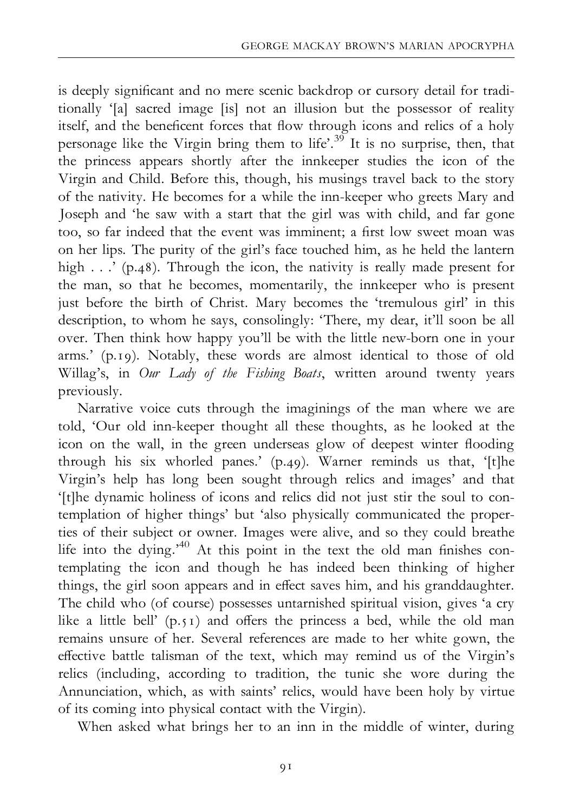is deeply significant and no mere scenic backdrop or cursory detail for traditionally '[a] sacred image [is] not an illusion but the possessor of reality itself, and the beneficent forces that flow through icons and relics of a holy personage like the Virgin bring them to life'.<sup>39</sup> It is no surprise, then, that the princess appears shortly after the innkeeper studies the icon of the Virgin and Child. Before this, though, his musings travel back to the story of the nativity. He becomes for a while the inn-keeper who greets Mary and Joseph and 'he saw with a start that the girl was with child, and far gone too, so far indeed that the event was imminent; a first low sweet moan was on her lips. The purity of the girl's face touched him, as he held the lantern high . . .' (p.48). Through the icon, the nativity is really made present for the man, so that he becomes, momentarily, the innkeeper who is present just before the birth of Christ. Mary becomes the 'tremulous girl' in this description, to whom he says, consolingly: 'There, my dear, it'll soon be all over. Then think how happy you'll be with the little new-born one in your arms.' (p.19). Notably, these words are almost identical to those of old Willag's, in Our Lady of the Fishing Boats, written around twenty years previously.

Narrative voice cuts through the imaginings of the man where we are told, 'Our old inn-keeper thought all these thoughts, as he looked at the icon on the wall, in the green underseas glow of deepest winter flooding through his six whorled panes.' (p.49). Warner reminds us that, '[t]he Virgin's help has long been sought through relics and images' and that '[t]he dynamic holiness of icons and relics did not just stir the soul to contemplation of higher things' but 'also physically communicated the properties of their subject or owner. Images were alive, and so they could breathe life into the dying.<sup>40</sup> At this point in the text the old man finishes contemplating the icon and though he has indeed been thinking of higher things, the girl soon appears and in effect saves him, and his granddaughter. The child who (of course) possesses untarnished spiritual vision, gives 'a cry like a little bell'  $(p, 51)$  and offers the princess a bed, while the old man remains unsure of her. Several references are made to her white gown, the effective battle talisman of the text, which may remind us of the Virgin's relics (including, according to tradition, the tunic she wore during the Annunciation, which, as with saints' relics, would have been holy by virtue of its coming into physical contact with the Virgin).

When asked what brings her to an inn in the middle of winter, during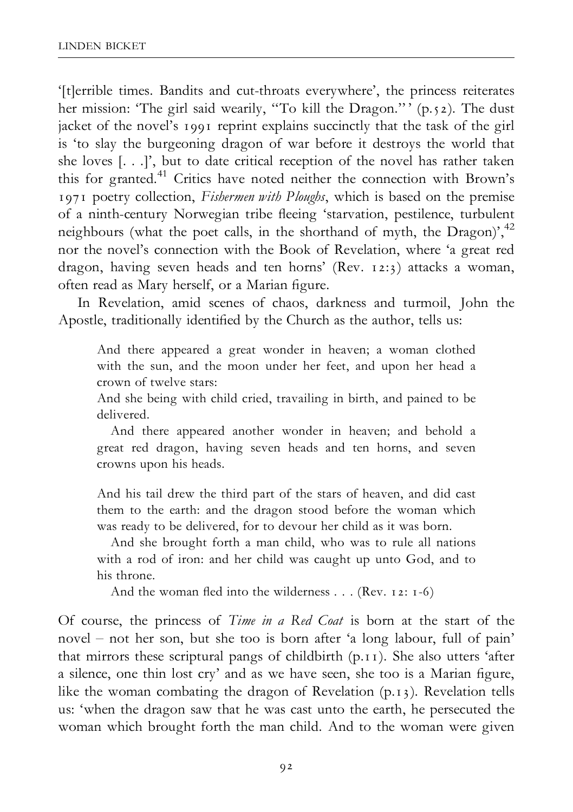'[t]errible times. Bandits and cut-throats everywhere', the princess reiterates her mission: 'The girl said wearily, "To kill the Dragon."' (p.52). The dust jacket of the novel's 1991 reprint explains succinctly that the task of the girl is 'to slay the burgeoning dragon of war before it destroys the world that she loves [. . .]', but to date critical reception of the novel has rather taken this for granted.<sup>41</sup> Critics have noted neither the connection with Brown's 1971 poetry collection, Fishermen with Ploughs, which is based on the premise of a ninth-century Norwegian tribe fleeing 'starvation, pestilence, turbulent neighbours (what the poet calls, in the shorthand of myth, the Dragon)',<sup>42</sup> nor the novel's connection with the Book of Revelation, where 'a great red dragon, having seven heads and ten horns' (Rev. 12:3) attacks a woman, often read as Mary herself, or a Marian figure.

In Revelation, amid scenes of chaos, darkness and turmoil, John the Apostle, traditionally identified by the Church as the author, tells us:

And there appeared a great wonder in heaven; a woman clothed with the sun, and the moon under her feet, and upon her head a crown of twelve stars:

And she being with child cried, travailing in birth, and pained to be delivered.

And there appeared another wonder in heaven; and behold a great red dragon, having seven heads and ten horns, and seven crowns upon his heads.

And his tail drew the third part of the stars of heaven, and did cast them to the earth: and the dragon stood before the woman which was ready to be delivered, for to devour her child as it was born.

And she brought forth a man child, who was to rule all nations with a rod of iron: and her child was caught up unto God, and to his throne.

And the woman fled into the wilderness  $\dots$  (Rev. 12: 1-6)

Of course, the princess of Time in a Red Coat is born at the start of the novel ^ not her son, but she too is born after 'a long labour, full of pain' that mirrors these scriptural pangs of childbirth (p.11). She also utters 'after a silence, one thin lost cry' and as we have seen, she too is a Marian figure, like the woman combating the dragon of Revelation (p.13). Revelation tells us: 'when the dragon saw that he was cast unto the earth, he persecuted the woman which brought forth the man child. And to the woman were given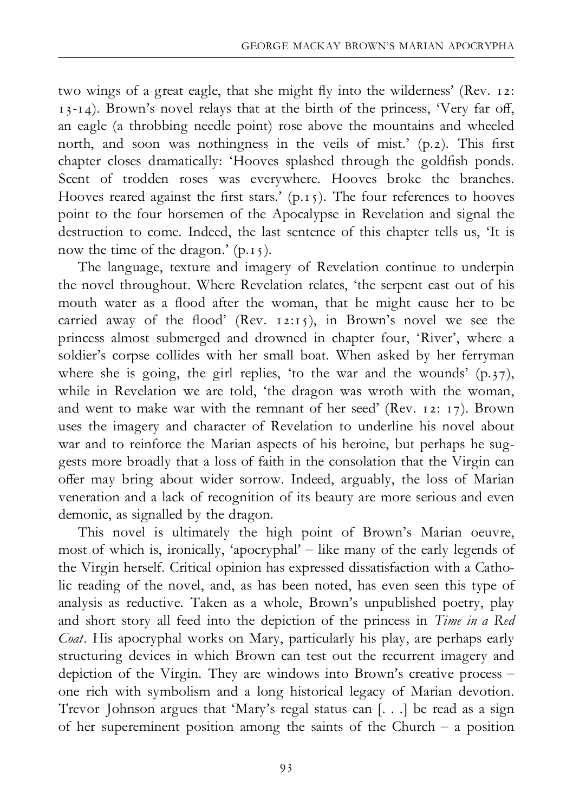two wings of a great eagle, that she might fly into the wilderness' (Rev. 12:  $13-14$ ). Brown's novel relays that at the birth of the princess, 'Very far off, an eagle (a throbbing needle point) rose above the mountains and wheeled north, and soon was nothingness in the veils of mist.' (p.2). This first chapter closes dramatically: 'Hooves splashed through the goldfish ponds. Scent of trodden roses was everywhere. Hooves broke the branches. Hooves reared against the first stars.'  $(p.15)$ . The four references to hooves point to the four horsemen of the Apocalypse in Revelation and signal the destruction to come. Indeed, the last sentence of this chapter tells us, 'It is now the time of the dragon.' (p.15).

The language, texture and imagery of Revelation continue to underpin the novel throughout. Where Revelation relates, 'the serpent cast out of his mouth water as a flood after the woman, that he might cause her to be carried away of the flood' (Rev. 12:15), in Brown's novel we see the princess almost submerged and drowned in chapter four, 'River', where a soldier's corpse collides with her small boat. When asked by her ferryman where she is going, the girl replies, 'to the war and the wounds'  $(p,37)$ , while in Revelation we are told, 'the dragon was wroth with the woman, and went to make war with the remnant of her seed' (Rev. 12: 17). Brown uses the imagery and character of Revelation to underline his novel about war and to reinforce the Marian aspects of his heroine, but perhaps he suggests more broadly that a loss of faith in the consolation that the Virgin can offer may bring about wider sorrow. Indeed, arguably, the loss of Marian veneration and a lack of recognition of its beauty are more serious and even demonic, as signalled by the dragon.

This novel is ultimately the high point of Brown's Marian oeuvre, most of which is, ironically, 'apocryphal'  $-$  like many of the early legends of the Virgin herself. Critical opinion has expressed dissatisfaction with a Catholic reading of the novel, and, as has been noted, has even seen this type of analysis as reductive. Taken as a whole, Brown's unpublished poetry, play and short story all feed into the depiction of the princess in Time in a Red Coat. His apocryphal works on Mary, particularly his play, are perhaps early structuring devices in which Brown can test out the recurrent imagery and depiction of the Virgin. They are windows into Brown's creative process  $$ one rich with symbolism and a long historical legacy of Marian devotion. Trevor Johnson argues that 'Mary's regal status can [. . .] be read as a sign of her supereminent position among the saints of the Church  $-$  a position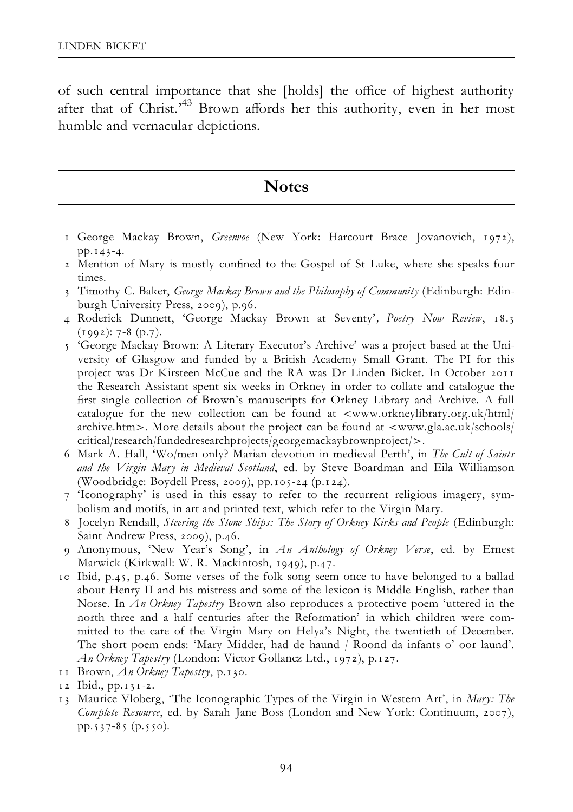of such central importance that she [holds] the office of highest authority after that of Christ.<sup>43</sup> Brown affords her this authority, even in her most humble and vernacular depictions.

## **Notes**

- 1 George Mackay Brown, Greenvoe (New York: Harcourt Brace Jovanovich, 1972), pp.143-4.
- 2 Mention of Mary is mostly confined to the Gospel of St Luke, where she speaks four times.
- 3 Timothy C. Baker, George Mackay Brown and the Philosophy of Community (Edinburgh: Edinburgh University Press, 2009), p.96.
- 4 Roderick Dunnett, 'George Mackay Brown at Seventy', Poetry Now Review, 18.3  $(1992): 7-8 (p.7).$
- 5 'George Mackay Brown: A Literary Executor's Archive' was a project based at the University of Glasgow and funded by a British Academy Small Grant. The PI for this project was Dr Kirsteen McCue and the RA was Dr Linden Bicket. In October 2011 the Research Assistant spent six weeks in Orkney in order to collate and catalogue the first single collection of Brown's manuscripts for Orkney Library and Archive. A full catalogue for the new collection can be found at  $\langle www.$ orkneylibrary.org.uk/html archive.htm>. More details about the project can be found at  $\langle$ www.gla.ac.uk/schools/ critical/research/fundedresearchprojects/georgemackaybrownproject/>.
- 6 Mark A. Hall, 'Wo/men only? Marian devotion in medieval Perth', in The Cult of Saints and the Virgin Mary in Medieval Scotland, ed. by Steve Boardman and Eila Williamson (Woodbridge: Boydell Press, 2009), pp.105-24 (p.124).
- 7 'Iconography' is used in this essay to refer to the recurrent religious imagery, symbolism and motifs, in art and printed text, which refer to the Virgin Mary.
- 8 Jocelyn Rendall, Steering the Stone Ships: The Story of Orkney Kirks and People (Edinburgh: Saint Andrew Press, 2009), p.46.
- 9 Anonymous, 'New Year's Song', in An Anthology of Orkney Verse, ed. by Ernest Marwick (Kirkwall: W. R. Mackintosh, 1949), p.47.
- 10 Ibid, p.45, p.46. Some verses of the folk song seem once to have belonged to a ballad about Henry II and his mistress and some of the lexicon is Middle English, rather than Norse. In An Orkney Tapestry Brown also reproduces a protective poem 'uttered in the north three and a half centuries after the Reformation' in which children were committed to the care of the Virgin Mary on Helya's Night, the twentieth of December. The short poem ends: 'Mary Midder, had de haund / Roond da infants o' oor laund'. An Orkney Tapestry (London: Victor Gollancz Ltd., 1972), p.127.
- 11 Brown,  $An$  Orkney Tapestry, p.130.

13 Maurice Vloberg, 'The Iconographic Types of the Virgin in Western Art', in Mary: The Complete Resource, ed. by Sarah Jane Boss (London and New York: Continuum, 2007), pp.537-85 (p.550).

<sup>12</sup> Ibid., pp.131-2.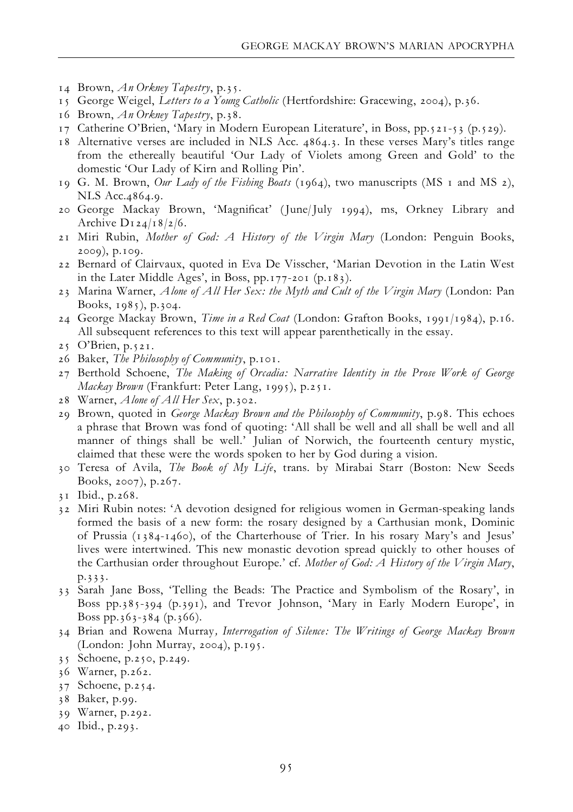- 14 Brown,  $An$  Orkney Tapestry, p.35.
- 15 George Weigel, Letters to a Young Catholic (Hertfordshire: Gracewing, 2004), p.36.
- 16 Brown,  $An$  Orkney Tapestry, p.38.
- 17 Catherine O'Brien, 'Mary in Modern European Literature', in Boss, pp.521-53 (p.529).
- 18 Alternative verses are included in NLS Acc. 4864.3. In these verses Mary's titles range from the ethereally beautiful 'Our Lady of Violets among Green and Gold' to the domestic 'Our Lady of Kirn and Rolling Pin'.
- 19 G. M. Brown, Our Lady of the Fishing Boats (1964), two manuscripts (MS 1 and MS 2), NLS Acc.4864.9.
- 20 George Mackay Brown, 'Magni¢cat' (June/July 1994), ms, Orkney Library and Archive  $D_1$  24/18/2/6.
- 21 Miri Rubin, *Mother of God: A History of the Virgin Mary* (London: Penguin Books, 2009), p.109.
- 22 Bernard of Clairvaux, quoted in Eva De Visscher, 'Marian Devotion in the Latin West in the Later Middle Ages', in Boss, pp.177-201 (p.183).
- 23 Marina Warner, Alone of All Her Sex: the Myth and Cult of the Virgin Mary (London: Pan Books, 1985), p.304.
- 24 George Mackay Brown, Time in a Red Coat (London: Grafton Books, 1991/1984), p.16. All subsequent references to this text will appear parenthetically in the essay.
- 25 O'Brien, p.521.
- 26 Baker, The Philosophy of Community, p.101.
- 27 Berthold Schoene, The Making of Orcadia: Narrative Identity in the Prose Work of George Mackay Brown (Frankfurt: Peter Lang, 1995), p.251.
- 28 Warner, Alone of All Her Sex, p.302.
- 29 Brown, quoted in George Mackay Brown and the Philosophy of Community, p.98. This echoes a phrase that Brown was fond of quoting: 'All shall be well and all shall be well and all manner of things shall be well.' Julian of Norwich, the fourteenth century mystic, claimed that these were the words spoken to her by God during a vision.
- 30 Teresa of Avila, The Book of My Life, trans. by Mirabai Starr (Boston: New Seeds Books, 2007), p.267.
- 31 Ibid., p.268.
- 32 Miri Rubin notes: 'A devotion designed for religious women in German-speaking lands formed the basis of a new form: the rosary designed by a Carthusian monk, Dominic of Prussia (1384-1460), of the Charterhouse of Trier. In his rosary Mary's and Jesus' lives were intertwined. This new monastic devotion spread quickly to other houses of the Carthusian order throughout Europe.' cf. Mother of God: A History of the Virgin Mary, p.333.
- 33 Sarah Jane Boss, 'Telling the Beads: The Practice and Symbolism of the Rosary', in Boss pp.385-394 (p.391), and Trevor Johnson, 'Mary in Early Modern Europe', in Boss pp.363-384 (p.366).
- 34 Brian and Rowena Murray, Interrogation of Silence: The Writings of George Mackay Brown (London: John Murray, 2004), p.195.
- 35 Schoene, p.250, p.249.
- 36 Warner, p.262.
- 37 Schoene, p.254.
- 38 Baker, p.99.
- 39 Warner, p.292.
- 40 Ibid., p.293.